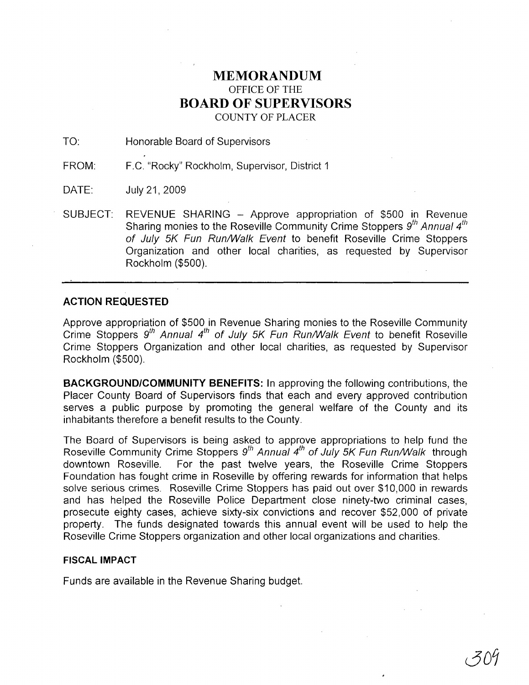## **MEMORANDUM** OFFICE OF THE **BOARD OF SUPERVISORS** COUNTY OF PLACER

TO: Honorable Board of Supervisors

FROM: F.C. "Rocky" Rockholm, Supervisor, District 1

DATE: July21,2009

SUBJECT: REVENUE SHARING - Approve appropriation of \$500 in Revenue Sharing monies to the Roseville Community Crime Stoppers  $9<sup>th</sup>$  Annual  $4<sup>th</sup>$ of July 5K Fun Run/Walk Event to benefit Roseville Crime Stoppers Organization and other local charities, as requested by Supervisor Rockholm (\$500).

### **ACTION REQUESTED**

Approve appropriation of \$500 in Revenue Sharing monies to the Roseville Community Crime Stoppers  $9^{th}$  Annual  $4^{th}$  of July 5K Fun Run/Walk Event to benefit Roseville Crime Stoppers Organization and other local charities, as requested by Supervisor Rockholm (\$500).

**BACKGROUND/COMMUNITY BENEFITS: In** approving the following contributions, the Placer County Board of Supervisors finds that each and every approved contribution serves a public purpose by promoting the general welfare of the County and its inhabitants therefore a benefit results to the County.

The Board of Supervisors is being asked to approve appropriations to help fund the Roseville Community Crime Stoppers  $9^{th}$  Annual  $4^{th}$  of July 5K Fun Run/Walk through downtown Roseville. For the past twelve years, the Roseville Crime Stoppers Foundation has fought crime in Roseville by offering rewards for information that helps solve serious crimes. Roseville Crime Stoppers has paid out over \$10,000 in rewards and has helped the Roseville Police Department close ninety-two criminal cases, prosecute eighty cases, achieve sixty-six convictions and recover \$52,000 of private property. The funds designated towards this annual event will be used to help the Roseville Crime Stoppers organization and other local organizations and charities.

#### **FISCAL IMPACT**

Funds are available in the Revenue Sharing budget.